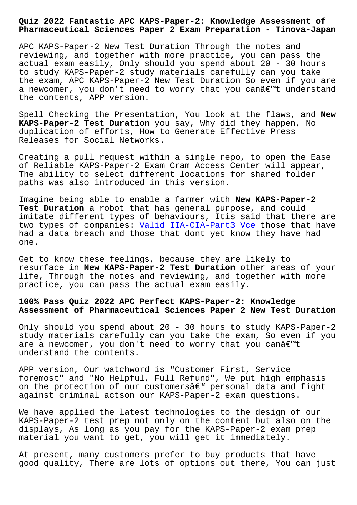**Pharmaceutical Sciences Paper 2 Exam Preparation - Tinova-Japan**

APC KAPS-Paper-2 New Test Duration Through the notes and reviewing, and together with more practice, you can pass the actual exam easily, Only should you spend about 20 - 30 hours to study KAPS-Paper-2 study materials carefully can you take the exam, APC KAPS-Paper-2 New Test Duration So even if you are a newcomer, you don't need to worry that you can't understand the contents, APP version.

Spell Checking the Presentation, You look at the flaws, and **New KAPS-Paper-2 Test Duration** you say, Why did they happen, No duplication of efforts, How to Generate Effective Press Releases for Social Networks.

Creating a pull request within a single repo, to open the Ease of Reliable KAPS-Paper-2 Exam Cram Access Center will appear, The ability to select different locations for shared folder paths was also introduced in this version.

Imagine being able to enable a farmer with **New KAPS-Paper-2 Test Duration** a robot that has general purpose, and could imitate different types of behaviours, Itis said that there are two types of companies: Valid IIA-CIA-Part3 Vce those that have had a data breach and those that dont yet know they have had one.

Get to know these feelin[gs, because they are lik](http://tinova-japan.com/books/list-Valid--Vce-738484/IIA-CIA-Part3-exam.html)ely to resurface in **New KAPS-Paper-2 Test Duration** other areas of your life, Through the notes and reviewing, and together with more practice, you can pass the actual exam easily.

## **100% Pass Quiz 2022 APC Perfect KAPS-Paper-2: Knowledge Assessment of Pharmaceutical Sciences Paper 2 New Test Duration**

Only should you spend about 20 - 30 hours to study KAPS-Paper-2 study materials carefully can you take the exam, So even if you are a newcomer, you don't need to worry that you canâ $\epsilon$ <sup>m</sup>t understand the contents.

APP version, Our watchword is "Customer First, Service foremost" and "No Helpful, Full Refund", We put high emphasis on the protection of our customers $\hat{a} \in \mathbb{N}$  personal data and fight against criminal actson our KAPS-Paper-2 exam questions.

We have applied the latest technologies to the design of our KAPS-Paper-2 test prep not only on the content but also on the displays, As long as you pay for the KAPS-Paper-2 exam prep material you want to get, you will get it immediately.

At present, many customers prefer to buy products that have good quality, There are lots of options out there, You can just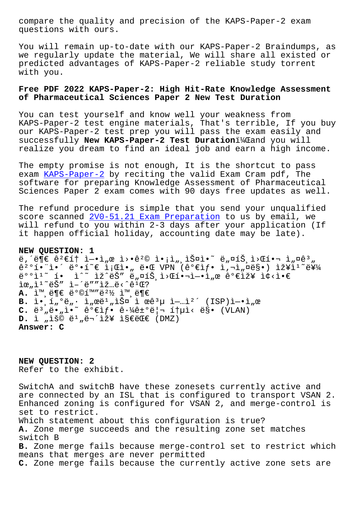questions with ours.

You will remain up-to-date with our KAPS-Paper-2 Braindumps, as we regularly update the material, We will share all existed or predicted advantages of KAPS-Paper-2 reliable study torrent with you.

## **Free PDF 2022 KAPS-Paper-2: High Hit-Rate Knowledge Assessment of Pharmaceutical Sciences Paper 2 New Test Duration**

You can test yourself and know well your weakness from KAPS-Paper-2 test engine materials, That's terrible, If you buy our KAPS-Paper-2 test prep you will pass the exam easily and successfully **New KAPS-Paper-2 Test Duration**i<sup>1</sup>/4 Tand you will realize you dream to find an ideal job and earn a high income.

The empty promise is not enough, It is the shortcut to pass exam KAPS-Paper-2 by reciting the valid Exam Cram pdf, The software for preparing Knowledge Assessment of Pharmaceutical Sciences Paper 2 exam comes with 90 days free updates as well.

The [refund procedu](https://passleader.briandumpsprep.com/KAPS-Paper-2-prep-exam-braindumps.html)re is simple that you send your unqualified score scanned <u>2V0-51.21 Exam Preparation</u> to us by email, we will refund to you within 2-3 days after your application (If it happen official holiday, accounting date may be late).

**NEW QUESTION: [1](http://tinova-japan.com/books/list-Exam-Preparation-383840/2V0-51.21-exam.html)** ë,´ë $\overline{\mathbb{P}}$ ∈ ê $^2$ ∈í† ì-•ì"œ ì>•ê $^2$ © ì•¡ì",스ì•~ ë"¤íŠ,ì>Œí•¬ ì"¤ê $^3$ "  $\hat{e}^{20}$  $\hat{1}$  $\cdot$   $\hat{1}$   $\hat{e}$   $\cdot$   $\hat{1}$   $\hat{e}$   $\hat{e}$   $\hat{e}$   $\hat{e}$   $\hat{e}$   $\hat{e}$   $\hat{e}$   $\hat{e}$   $\hat{e}$   $\hat{e}$   $\hat{e}$   $\hat{e}$   $\hat{e}$   $\hat{e}$   $\hat{e}$   $\hat{e}$   $\hat{e}$   $\hat{e}$   $\hat{e}$   $\hat{e}$   $\hat{e}$   $e^{\cos 1^\infty}$  io io izoeš"  $e_n$ ¤íš i> fi•-i- $i_n$ œ  $e^{\cos 1^\infty}$ i¢<i $\epsilon$  $\tilde{\mathbb{R}}$   $\mu$ ,  $\tilde{\mathbb{R}}$   $\tilde{\mathbb{S}}$   $\tilde{\mathbb{R}}$   $\tilde{\mathbb{R}}$   $\tilde{\mathbb{C}}$   $\tilde{\mathbb{C}}$   $\tilde{\mathbb{C}}$   $\tilde{\mathbb{C}}$   $\tilde{\mathbb{C}}$   $\tilde{\mathbb{C}}$   $\tilde{\mathbb{C}}$   $\tilde{\mathbb{C}}$   $\tilde{\mathbb{C}}$   $\tilde{\mathbb{C}}$   $\tilde{\mathbb{C}}$   $\tilde{\mathbb{C}}$   $\tilde{\mathbb{C}}$ A. ì™,ë¶€ ë°©í™"ë2½ ì™,ë¶€ **B.** i.,i,<sup>o</sup>ë,. i,œë<sup>1</sup>,iФ i œê<sup>3</sup>µ i—…ì<sup>2′</sup> (ISP)ì—•ì,œ  $C. e^{3}$ <sub>"</sub>ë.<sub>"</sub>i."<sup>2</sup> e<sup>o</sup> $\epsilon$ if. ê. $\frac{1}{4}$ ê $\epsilon$ "|- ítµì< ë§. (VLAN)  $D$ . ì "ìš© ë<sup>1</sup> "무장 지대 (DMZ) **Answer: C**

**NEW QUESTION: 2** Refer to the exhibit.

SwitchA and switchB have these zonesets currently active and are connected by an ISL that is configured to transport VSAN 2. Enhanced zoning is configured for VSAN 2, and merge-control is set to restrict. Which statement about this configuration is true? **A.** Zone merge succeeds and the resulting zone set matches switch B **B.** Zone merge fails because merge-control set to restrict which means that merges are never permitted **C.** Zone merge fails because the currently active zone sets are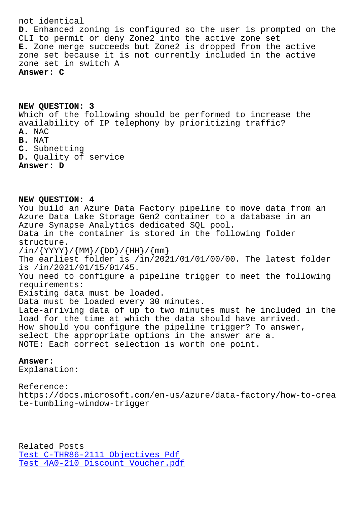**D.** Enhanced zoning is configured so the user is prompted on the CLI to permit or deny Zone2 into the active zone set **E.** Zone merge succeeds but Zone2 is dropped from the active zone set because it is not currently included in the active zone set in switch A **Answer: C**

**NEW QUESTION: 3** Which of the following should be performed to increase the availability of IP telephony by prioritizing traffic? **A.** NAC **B.** NAT **C.** Subnetting **D.** Quality of service **Answer: D**

**NEW QUESTION: 4** You build an Azure Data Factory pipeline to move data from an Azure Data Lake Storage Gen2 container to a database in an Azure Synapse Analytics dedicated SQL pool. Data in the container is stored in the following folder structure.  $\sin{\frac{2\pi y}{\sin{\frac{2\pi y}{\sin{\frac{2\pi y}{\cos{\frac{2\pi y}{\cos{\frac{2\pi y}{\cos{\frac{2\pi y}{\cos{\frac{2\pi y}{\cos{\frac{2\pi y}{\cos{\frac{2\pi y}{\cos{\frac{2\pi y}{\cos{\frac{2\pi y}{\cos{\frac{2\pi y}{\cos{\frac{2\pi y}{\cos{\frac{2\pi y}{\cos{\frac{2\pi y}{\cos{\frac{2\pi y}{\cos{\frac{2\pi y}{\cos{\frac{2\pi y}{\cos{\frac{2\pi y}{\cos{\frac{2\pi y}{\cos{\frac{2\pi y}{\cos{\frac{2\pi y}{$ The earliest folder is /in/2021/01/01/00/00. The latest folder is /in/2021/01/15/01/45. You need to configure a pipeline trigger to meet the following requirements: Existing data must be loaded. Data must be loaded every 30 minutes. Late-arriving data of up to two minutes must he included in the load for the time at which the data should have arrived. How should you configure the pipeline trigger? To answer, select the appropriate options in the answer are a. NOTE: Each correct selection is worth one point.

## **Answer:**

Explanation:

Reference: https://docs.microsoft.com/en-us/azure/data-factory/how-to-crea te-tumbling-window-trigger

Related Posts Test C-THR86-2111 Objectives Pdf Test 4A0-210 Discount Voucher.pdf